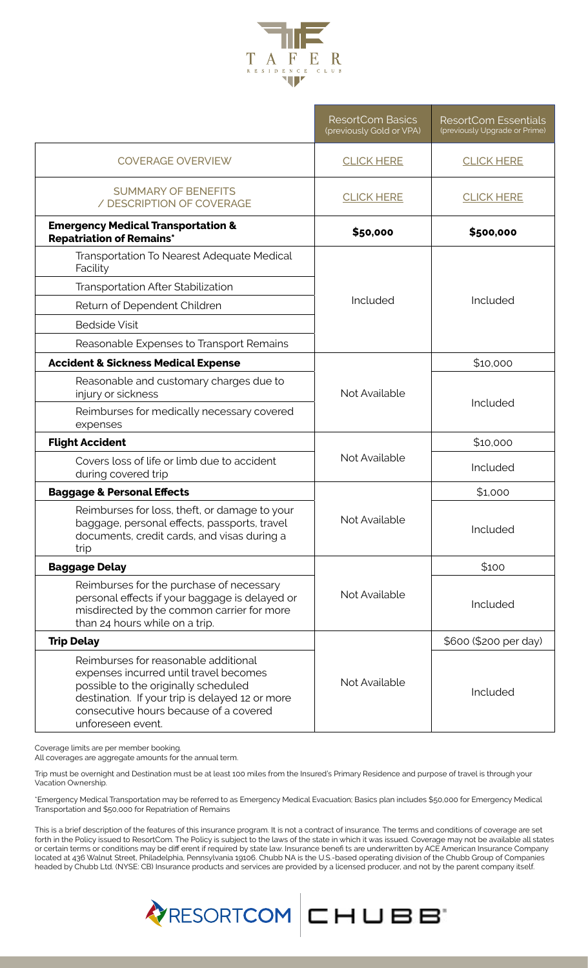

|                                                                                                                                                                                                                                          | <b>ResortCom Basics</b><br>(previously Gold or VPA) | <b>ResortCom Essentials</b><br>(previously Upgrade or Prime) |
|------------------------------------------------------------------------------------------------------------------------------------------------------------------------------------------------------------------------------------------|-----------------------------------------------------|--------------------------------------------------------------|
| <b>COVERAGE OVERVIEW</b>                                                                                                                                                                                                                 | <b>CLICK HERE</b>                                   | <b>CLICK HERE</b>                                            |
| <b>SUMMARY OF BENEFITS</b><br>/ DESCRIPTION OF COVERAGE                                                                                                                                                                                  | <b>CLICK HERE</b>                                   | <b>CLICK HERE</b>                                            |
| <b>Emergency Medical Transportation &amp;</b><br><b>Repatriation of Remains*</b>                                                                                                                                                         | \$50,000                                            | \$500,000                                                    |
| Transportation To Nearest Adequate Medical<br>Facility                                                                                                                                                                                   | Included                                            | Included                                                     |
| <b>Transportation After Stabilization</b>                                                                                                                                                                                                |                                                     |                                                              |
| Return of Dependent Children                                                                                                                                                                                                             |                                                     |                                                              |
| <b>Bedside Visit</b>                                                                                                                                                                                                                     |                                                     |                                                              |
| Reasonable Expenses to Transport Remains                                                                                                                                                                                                 |                                                     |                                                              |
| <b>Accident &amp; Sickness Medical Expense</b>                                                                                                                                                                                           | Not Available                                       | \$10,000                                                     |
| Reasonable and customary charges due to<br>injury or sickness                                                                                                                                                                            |                                                     | Included                                                     |
| Reimburses for medically necessary covered<br>expenses                                                                                                                                                                                   |                                                     |                                                              |
| <b>Flight Accident</b>                                                                                                                                                                                                                   | Not Available                                       | \$10,000                                                     |
| Covers loss of life or limb due to accident<br>during covered trip                                                                                                                                                                       |                                                     | Included                                                     |
| <b>Baggage &amp; Personal Effects</b>                                                                                                                                                                                                    | Not Available                                       | \$1,000                                                      |
| Reimburses for loss, theft, or damage to your<br>baggage, personal effects, passports, travel<br>documents, credit cards, and visas during a<br>trip                                                                                     |                                                     | Included                                                     |
| <b>Baggage Delay</b>                                                                                                                                                                                                                     | Not Available                                       | \$100                                                        |
| Reimburses for the purchase of necessary<br>personal effects if your baggage is delayed or<br>misdirected by the common carrier for more<br>than 24 hours while on a trip.                                                               |                                                     | Included                                                     |
| <b>Trip Delay</b>                                                                                                                                                                                                                        |                                                     | \$600 (\$200 per day)                                        |
| Reimburses for reasonable additional<br>expenses incurred until travel becomes<br>possible to the originally scheduled<br>destination. If your trip is delayed 12 or more<br>consecutive hours because of a covered<br>unforeseen event. | Not Available                                       | Included                                                     |

Coverage limits are per member booking.

All coverages are aggregate amounts for the annual term.

Trip must be overnight and Destination must be at least 100 miles from the Insured's Primary Residence and purpose of travel is through your Vacation Ownership.

\*Emergency Medical Transportation may be referred to as Emergency Medical Evacuation; Basics plan includes \$50,000 for Emergency Medical Transportation and \$50,000 for Repatriation of Remains

This is a brief description of the features of this insurance program. It is not a contract of insurance. The terms and conditions of coverage are set forth in the Policy issued to ResortCom. The Policy is subject to the laws of the state in which it was issued. Coverage may not be available all states or certain terms or conditions may be diff erent if required by state law. Insurance benefi ts are underwritten by ACE American Insurance Company located at 436 Walnut Street, Philadelphia, Pennsylvania 19106. Chubb NA is the U.S.-based operating division of the Chubb Group of Companies headed by Chubb Ltd. (NYSE: CB) Insurance products and services are provided by a licensed producer, and not by the parent company itself.